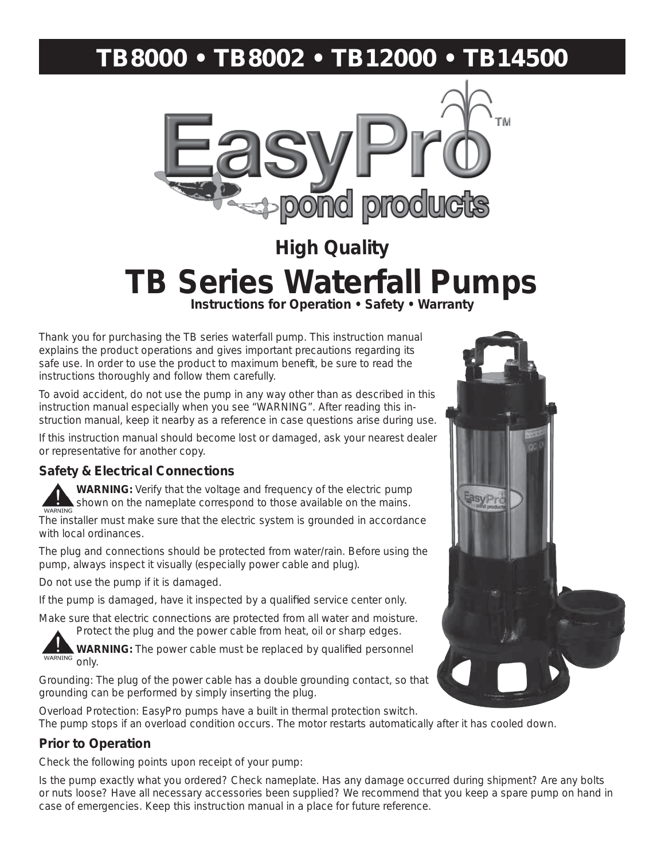# **TB8000 • TB8002 • TB12000 • TB14500**



# **High Quality TB Series Waterfall Pumps**

Thank you for purchasing the TB series waterfall pump. This instruction manual explains the product operations and gives important precautions regarding its safe use. In order to use the product to maximum benefit, be sure to read the instructions thoroughly and follow them carefully.

To avoid accident, do not use the pump in any way other than as described in this instruction manual especially when you see "WARNING". After reading this instruction manual, keep it nearby as a reference in case questions arise during use.

If this instruction manual should become lost or damaged, ask your nearest dealer or representative for another copy.

# **Safety & Electrical Connections**

**WARNING:** Verify that the voltage and frequency of the electric pump shown on the nameplate correspond to those available on the mains.

The installer must make sure that the electric system is grounded in accordance with local ordinances.

The plug and connections should be protected from water/rain. Before using the pump, always inspect it visually (especially power cable and plug).

Do not use the pump if it is damaged.

If the pump is damaged, have it inspected by a qualified service center only.

Make sure that electric connections are protected from all water and moisture. Protect the plug and the power cable from heat, oil or sharp edges.

WARNING: The power cable must be replaced by qualified personnel WARNING only.

Grounding: The plug of the power cable has a double grounding contact, so that grounding can be performed by simply inserting the plug.

Overload Protection: EasyPro pumps have a built in thermal protection switch. The pump stops if an overload condition occurs. The motor restarts automatically after it has cooled down.

# **Prior to Operation**

Check the following points upon receipt of your pump:

Is the pump exactly what you ordered? Check nameplate. Has any damage occurred during shipment? Are any bolts or nuts loose? Have all necessary accessories been supplied? We recommend that you keep a spare pump on hand in case of emergencies. Keep this instruction manual in a place for future reference.

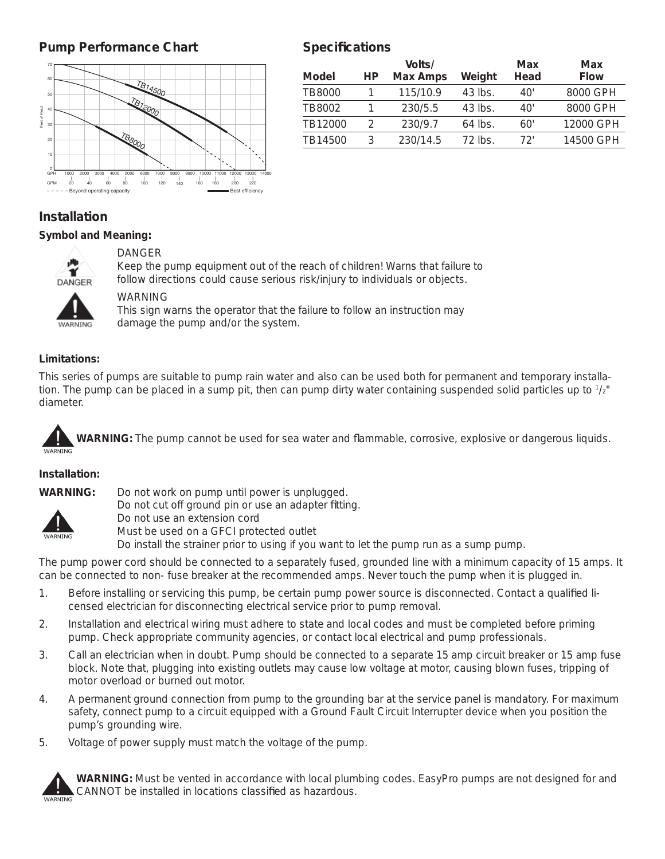# **Pump Performance Chart**



# **Specifi cations**

| Model         | НP | Volts/<br>Max Amps | Weight    | Max<br>Head | Max<br><b>Flow</b> |
|---------------|----|--------------------|-----------|-------------|--------------------|
| <b>TB8000</b> |    | 115/10.9           | 43 lbs.   | 40'         | 8000 GPH           |
| TB8002        |    | 230/5.5            | 43 lbs.   | 40'         | 8000 GPH           |
| TB12000       | C  | 230/9.7            | $64$ lbs. | 60'         | 12000 GPH          |
| TB14500       | ર  | 230/14.5           | 72 lbs.   | 72'         | 14500 GPH          |
|               |    |                    |           |             |                    |

# **Installation**

#### *Symbol and Meaning:*



#### DANGER

Keep the pump equipment out of the reach of children! Warns that failure to DANGER follow directions could cause serious risk/injury to individuals or objects.

WARNING

 This sign warns the operator that the failure to follow an instruction may wARNING damage the pump and/or the system.

#### *Limitations:*

This series of pumps are suitable to pump rain water and also can be used both for permanent and temporary installation. The pump can be placed in a sump pit, then can pump dirty water containing suspended solid particles up to  $1/2"$ diameter.

WARNING: The pump cannot be used for sea water and flammable, corrosive, explosive or dangerous liquids.

#### *Installation:*

**WARNING:** Do not work on pump until power is unplugged.



Do not cut off ground pin or use an adapter fitting. Do not use an extension cord

Must be used on a GFCI protected outlet

Do install the strainer prior to using if you want to let the pump run as a sump pump.

The pump power cord should be connected to a separately fused, grounded line with a minimum capacity of 15 amps. It can be connected to non- fuse breaker at the recommended amps. Never touch the pump when it is plugged in.

- 1. Before installing or servicing this pump, be certain pump power source is disconnected. Contact a qualified licensed electrician for disconnecting electrical service prior to pump removal.
- 2. Installation and electrical wiring must adhere to state and local codes and must be completed before priming pump. Check appropriate community agencies, or contact local electrical and pump professionals.
- 3. Call an electrician when in doubt. Pump should be connected to a separate 15 amp circuit breaker or 15 amp fuse block. Note that, plugging into existing outlets may cause low voltage at motor, causing blown fuses, tripping of motor overload or burned out motor.
- 4. A permanent ground connection from pump to the grounding bar at the service panel is mandatory. For maximum safety, connect pump to a circuit equipped with a Ground Fault Circuit Interrupter device when you position the pump's grounding wire.
- 5. Voltage of power supply must match the voltage of the pump.



**WARNING:** Must be vented in accordance with local plumbing codes. EasyPro pumps are not designed for and CANNOT be installed in locations classified as hazardous.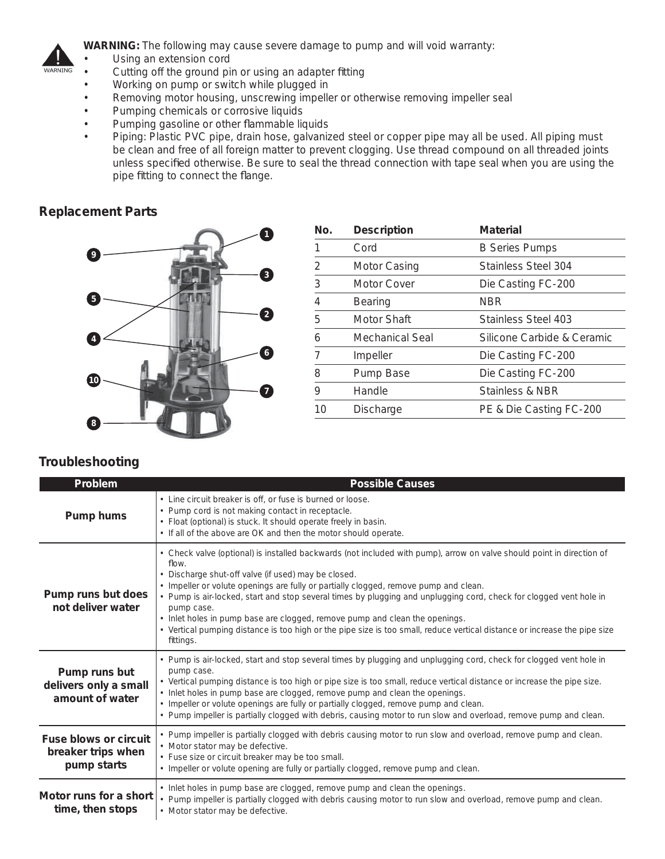

**WARNING:** The following may cause severe damage to pump and will void warranty:

- Using an extension cord
- Cutting off the ground pin or using an adapter fitting
- Working on pump or switch while plugged in
- Removing motor housing, unscrewing impeller or otherwise removing impeller seal
- Pumping chemicals or corrosive liquids
- Pumping gasoline or other flammable liquids
- Piping: Plastic PVC pipe, drain hose, galvanized steel or copper pipe may all be used. All piping must be clean and free of all foreign matter to prevent clogging. Use thread compound on all threaded joints unless specified otherwise. Be sure to seal the thread connection with tape seal when you are using the pipe fitting to connect the flange.

### **Replacement Parts**



| No.           | <b>Description</b> | Material                   |
|---------------|--------------------|----------------------------|
| 1             | Cord               | <b>B Series Pumps</b>      |
| $\mathcal{P}$ | Motor Casing       | Stainless Steel 304        |
| 3             | Motor Cover        | Die Casting FC-200         |
| 4             | <b>Bearing</b>     | <b>NBR</b>                 |
| 5             | Motor Shaft        | Stainless Steel 403        |
| 6             | Mechanical Seal    | Silicone Carbide & Ceramic |
| 7             | Impeller           | Die Casting FC-200         |
| 8             | Pump Base          | Die Casting FC-200         |
| 9             | Handle             | <b>Stainless &amp; NBR</b> |
| 10            | <b>Discharge</b>   | PE & Die Casting FC-200    |

# **Troubleshooting**

| Problem                                                    | <i><b>Possible Causes</b></i>                                                                                                                                                                                                                                                                                                                                                                                                                                                                                                                                                                                                              |  |
|------------------------------------------------------------|--------------------------------------------------------------------------------------------------------------------------------------------------------------------------------------------------------------------------------------------------------------------------------------------------------------------------------------------------------------------------------------------------------------------------------------------------------------------------------------------------------------------------------------------------------------------------------------------------------------------------------------------|--|
| Pump hums                                                  | • Line circuit breaker is off, or fuse is burned or loose.<br>• Pump cord is not making contact in receptacle.<br>• Float (optional) is stuck. It should operate freely in basin.<br>• If all of the above are OK and then the motor should operate.                                                                                                                                                                                                                                                                                                                                                                                       |  |
| Pump runs but does<br>not deliver water                    | • Check valve (optional) is installed backwards (not included with pump), arrow on valve should point in direction of<br>flow.<br>• Discharge shut-off valve (if used) may be closed.<br>• Impeller or volute openings are fully or partially clogged, remove pump and clean.<br>• Pump is air-locked, start and stop several times by plugging and unplugging cord, check for clogged vent hole in<br>pump case.<br>• Inlet holes in pump base are clogged, remove pump and clean the openings.<br>• Vertical pumping distance is too high or the pipe size is too small, reduce vertical distance or increase the pipe size<br>fittings. |  |
| Pump runs but<br>delivers only a small<br>amount of water  | • Pump is air-locked, start and stop several times by plugging and unplugging cord, check for clogged vent hole in<br>pump case.<br>• Vertical pumping distance is too high or pipe size is too small, reduce vertical distance or increase the pipe size.<br>• Inlet holes in pump base are clogged, remove pump and clean the openings.<br>• Impeller or volute openings are fully or partially clogged, remove pump and clean.<br>• Pump impeller is partially clogged with debris, causing motor to run slow and overload, remove pump and clean.                                                                                      |  |
| Fuse blows or circuit<br>breaker trips when<br>pump starts | . Pump impeller is partially clogged with debris causing motor to run slow and overload, remove pump and clean.<br>• Motor stator may be defective.<br>• Fuse size or circuit breaker may be too small.<br>• Impeller or volute opening are fully or partially clogged, remove pump and clean.                                                                                                                                                                                                                                                                                                                                             |  |
| Motor runs for a short<br>time, then stops                 | • Inlet holes in pump base are clogged, remove pump and clean the openings.<br>• Pump impeller is partially clogged with debris causing motor to run slow and overload, remove pump and clean.<br>• Motor stator may be defective.                                                                                                                                                                                                                                                                                                                                                                                                         |  |